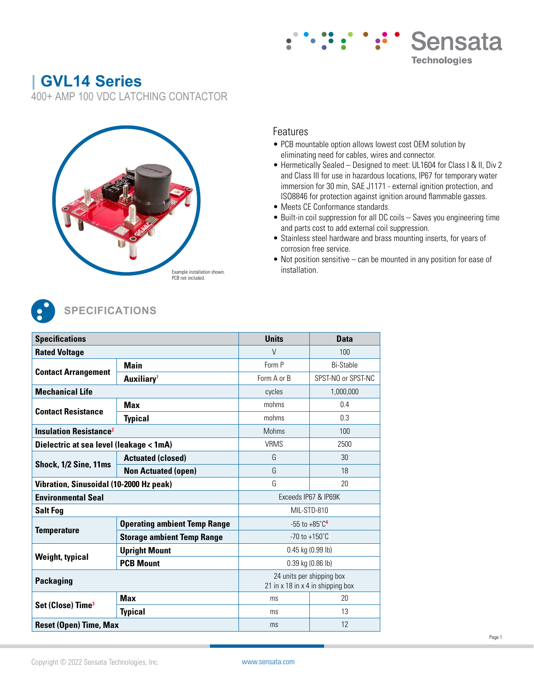# **| GVL14 Series**

400+ AMP 100 VDC LATCHING CONTACTOR



### Features

- PCB mountable option allows lowest cost OEM solution by eliminating need for cables, wires and connector.
- Hermetically Sealed Designed to meet: UL1604 for Class I & II, Div 2 and Class III for use in hazardous locations, IP67 for temporary water immersion for 30 min, SAE J1171 - external ignition protection, and ISO8846 for protection against ignition around flammable gasses.

Sensata

**Technologies** 

- Meets CE Conformance standards.
- Built-in coil suppression for all DC coils Saves you engineering time and parts cost to add external coil suppression.
- Stainless steel hardware and brass mounting inserts, for years of corrosion free service.
- Not position sensitive can be mounted in any position for ease of installation.



# **SPECIFICATIONS**

| <b>Specifications</b>                                                                                                                                   |                                     | <b>Units</b>                                                   | <b>Data</b>          |  |  |  |  |
|---------------------------------------------------------------------------------------------------------------------------------------------------------|-------------------------------------|----------------------------------------------------------------|----------------------|--|--|--|--|
| <b>Rated Voltage</b>                                                                                                                                    |                                     | $\vee$                                                         | 100                  |  |  |  |  |
|                                                                                                                                                         | <b>Main</b>                         | Form P                                                         | Bi-Stable            |  |  |  |  |
| <b>Contact Arrangement</b>                                                                                                                              | Auxiliary <sup>1</sup>              | Form A or B                                                    | SPST-NO or SPST-NC   |  |  |  |  |
| <b>Mechanical Life</b>                                                                                                                                  |                                     | cycles                                                         | 1,000,000            |  |  |  |  |
| <b>Max</b><br><b>Contact Resistance</b><br><b>Insulation Resistance<sup>2</sup></b><br>Dielectric at sea level (leakage < 1mA)<br>Shock, 1/2 Sine, 11ms |                                     | mohms                                                          | 0.4                  |  |  |  |  |
|                                                                                                                                                         | <b>Typical</b>                      | mohms                                                          | 0.3                  |  |  |  |  |
|                                                                                                                                                         |                                     | <b>Mohms</b>                                                   | 100                  |  |  |  |  |
|                                                                                                                                                         |                                     | <b>VRMS</b>                                                    | 2500                 |  |  |  |  |
|                                                                                                                                                         | <b>Actuated (closed)</b>            | G                                                              | 30                   |  |  |  |  |
|                                                                                                                                                         | G<br><b>Non Actuated (open)</b>     |                                                                | 18                   |  |  |  |  |
| Vibration, Sinusoidal (10-2000 Hz peak)                                                                                                                 |                                     | G                                                              | 20                   |  |  |  |  |
| <b>Environmental Seal</b>                                                                                                                               |                                     |                                                                | Exceeds IP67 & IP69K |  |  |  |  |
| <b>Salt Fog</b>                                                                                                                                         |                                     | MIL-STD-810                                                    |                      |  |  |  |  |
| <b>Temperature</b>                                                                                                                                      | <b>Operating ambient Temp Range</b> | $-55$ to $+85^{\circ}$ C <sup>4</sup>                          |                      |  |  |  |  |
|                                                                                                                                                         | <b>Storage ambient Temp Range</b>   | $-70$ to $+150^{\circ}$ C                                      |                      |  |  |  |  |
| <b>Weight, typical</b>                                                                                                                                  | <b>Upright Mount</b>                | 0.45 kg (0.99 lb)                                              |                      |  |  |  |  |
|                                                                                                                                                         | <b>PCB Mount</b>                    |                                                                | $0.39$ kg (0.86 lb)  |  |  |  |  |
| <b>Packaging</b>                                                                                                                                        |                                     | 24 units per shipping box<br>21 in x 18 in x 4 in shipping box |                      |  |  |  |  |
| Set (Close) Time <sup>3</sup>                                                                                                                           | <b>Max</b>                          | ms                                                             | 20                   |  |  |  |  |
|                                                                                                                                                         | <b>Typical</b>                      | ms                                                             | 13                   |  |  |  |  |
| <b>Reset (Open) Time, Max</b>                                                                                                                           |                                     |                                                                | 12                   |  |  |  |  |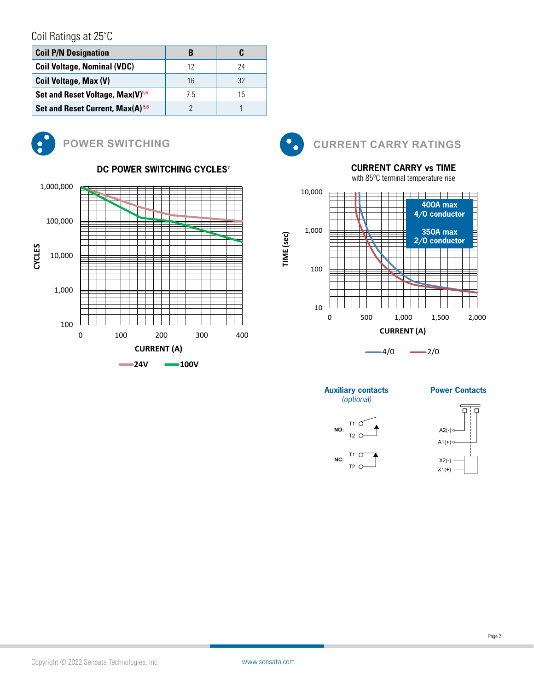# Coil Ratings at 25°C

| <b>Coil P/N Designation</b>                  |    |    |
|----------------------------------------------|----|----|
| <b>Coil Voltage, Nominal (VDC)</b>           | 12 | 24 |
| <b>Coil Voltage, Max (V)</b>                 | 1ĥ | 32 |
| Set and Reset Voltage, Max(V) <sup>5,6</sup> | 75 | 15 |
| Set and Reset Current, Max(A) <sup>5,6</sup> |    |    |



#### **POWER SWITCHING Environmental Seal** Exceeds IP67 & IP69K





## **CURRENT CARRY vs TIME**

with 85ºC terminal temperature rise





**Auxiliary contacts**  *(optional)*

> T1 T2

**NC:** T1<br>T2

**NO:**

**Power Contacts**



**TIME (sec)**

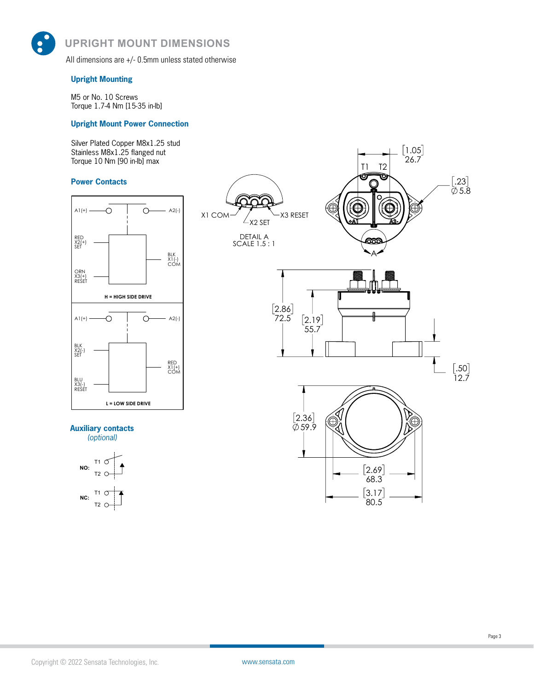**UPRIGHT MOUNT DIMENSIONS UPRIGHT MOUNT DIMENSIONS**

> All dimensions are +/- 0.5mm unless stated otherwise  $A = \frac{1}{2} \int_{0}^{1} \frac{d\mu}{\lambda} \left( \frac{d\mu}{\lambda} \right) \left( \frac{d\mu}{\lambda} \right) \, d\mu$

#### **Upright Mounting**

M5 or No. 10 Screws Torque 1.7-4 Nm [15-35 in-lb]

#### **Upright Mount Power Connection**

Silver Plated Copper M8x1.25 stud Stainless M8x1.25 flanged nut Torque 10 Nm [90 in-lb] max

#### **Power Contacts**



### **Auxiliary contacts**

*(optional)*



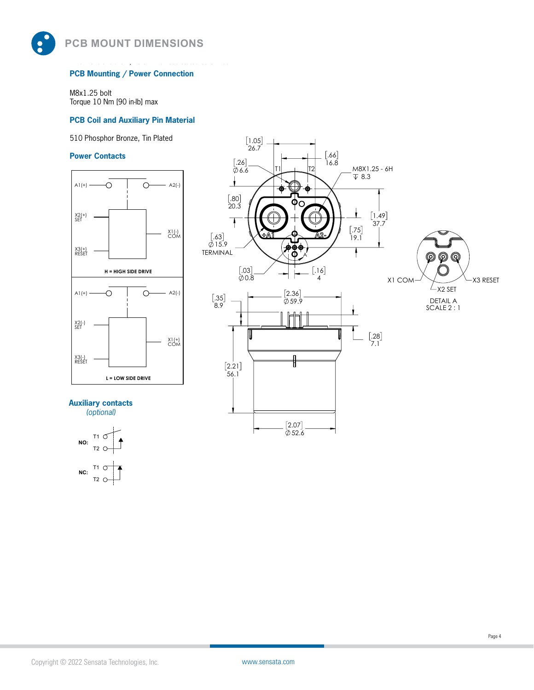**PCB MOUNT DIMENSIONS PCB MOUNT DIMENSIONS**

#### **PCB Mounting / Power Connection**

All dimensions are +/- 0.5mm unless stated otherwise

M8x1.25 bolt Torque 10 Nm [90 in-lb] max

#### **PCB Coil and Auxiliary Pin Material**

510 Phosphor Bronze, Tin Plated

#### **Power Contacts**



**Auxiliary contacts**  *(optional)*



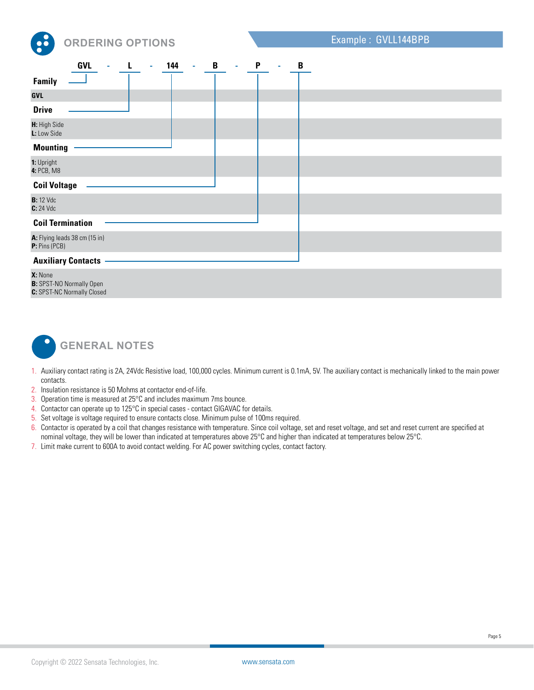

|                                                | <b>GVL</b> | ä, | $\mathbf{r}$ | 144 | $\bar{a}$ | $\mathbf B$ | $\sim$ | $\mathsf{P}$ | $\blacksquare$ | B |
|------------------------------------------------|------------|----|--------------|-----|-----------|-------------|--------|--------------|----------------|---|
| <b>Family</b>                                  |            |    |              |     |           |             |        |              |                |   |
| GVL                                            |            |    |              |     |           |             |        |              |                |   |
| <b>Drive</b>                                   |            |    |              |     |           |             |        |              |                |   |
| H: High Side<br>L: Low Side                    |            |    |              |     |           |             |        |              |                |   |
| <b>Mounting</b>                                |            |    |              |     |           |             |        |              |                |   |
| 1: Upright<br>4: PCB, M8                       |            |    |              |     |           |             |        |              |                |   |
| <b>Coil Voltage</b>                            |            |    |              |     |           |             |        |              |                |   |
| <b>B:</b> 12 Vdc<br>$C: 24$ Vdc                |            |    |              |     |           |             |        |              |                |   |
| <b>Coil Termination</b>                        |            |    |              |     |           |             |        |              |                |   |
| A: Flying leads 38 cm (15 in)<br>P: Pins (PCB) |            |    |              |     |           |             |        |              |                |   |
| <b>Auxiliary Contacts</b>                      |            |    |              |     |           |             |        |              |                |   |

**X:** None **B:** SPST-NO Normally Open **C:** SPST-NC Normally Closed



- 1. Auxiliary contact rating is 2A, 24Vdc Resistive load, 100,000 cycles. Minimum current is 0.1mA, 5V. The auxiliary contact is mechanically linked to the main power contacts.
- 2. Insulation resistance is 50 Mohms at contactor end-of-life.
- 3. Operation time is measured at 25°C and includes maximum 7ms bounce.
- 4. Contactor can operate up to 125°C in special cases contact GIGAVAC for details.
- 5. Set voltage is voltage required to ensure contacts close. Minimum pulse of 100ms required.
- 6. Contactor is operated by a coil that changes resistance with temperature. Since coil voltage, set and reset voltage, and set and reset current are specified at
- nominal voltage, they will be lower than indicated at temperatures above 25°C and higher than indicated at temperatures below 25°C.
- 7. Limit make current to 600A to avoid contact welding. For AC power switching cycles, contact factory.